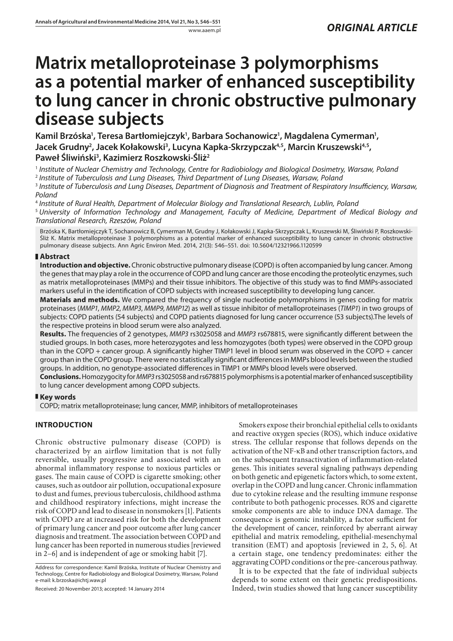# **Matrix metalloproteinase 3 polymorphisms as a potential marker of enhanced susceptibility to lung cancer in chronic obstructive pulmonary disease subjects**

Kamil Brzóska<sup>ı</sup>, Teresa Bartłomiejczyk<sup>ı</sup>, Barbara Sochanowicz<sup>ı</sup>, Magdalena Cymerman<sup>ı</sup>, Jacek Grudny<sup>2</sup>, Jacek Kołakowski<sup>3</sup>, Lucyna Kapka-Skrzypczak<sup>4,5</sup>, Marcin Kruszewski<sup>4,5</sup>, **Paweł Śliwiński3 , Kazimierz Roszkowski-Śliż2**

<sup>1</sup> *Institute of Nuclear Chemistry and Technology, Centre for Radiobiology and Biological Dosimetry, Warsaw, Poland*

<sup>2</sup> *Institute of Tuberculosis and Lung Diseases, Third Department of Lung Diseases, Warsaw, Poland*

<sup>3</sup> *Institute of Tuberculosis and Lung Diseases, Department of Diagnosis and Treatment of Respiratory Insufficiency, Warsaw, Poland*

<sup>4</sup> *Institute of Rural Health, Department of Molecular Biology and Translational Research, Lublin, Poland*

<sup>5</sup> *University of Information Technology and Management, Faculty of Medicine, Department of Medical Biology and Translational Research, Rzeszów, Poland*

Brzóska K, Bartłomiejczyk T, Sochanowicz B, Cymerman M, Grudny J, Kołakowski J, Kapka-Skrzypczak L, Kruszewski M, Śliwiński P, Roszkowski-Śliż K. Matrix metalloproteinase 3 polymorphisms as a potential marker of enhanced susceptibility to lung cancer in chronic obstructive pulmonary disease subjects. Ann Agric Environ Med. 2014, 21(3): 546–551. doi: 10.5604/12321966.1120599

## **Abstract**

**Introduction and objective.** Chronic obstructive pulmonary disease (COPD) is often accompanied by lung cancer. Among the genes that may play a role in the occurrence of COPD and lung cancer are those encoding the proteolytic enzymes, such as matrix metalloproteinases (MMPs) and their tissue inhibitors. The objective of this study was to find MMPs-associated markers useful in the identification of COPD subjects with increased susceptibility to developing lung cancer.

**Materials and methods.** We compared the frequency of single nucleotide polymorphisms in genes coding for matrix proteinases (*MMP1*, *MMP2*, *MMP3*, *MMP9*, *MMP12*) as well as tissue inhibitor of metalloproteinases (*TIMP1*) in two groups of subjects: COPD patients (54 subjects) and COPD patients diagnosed for lung cancer occurrence (53 subjects).The levels of the respective proteins in blood serum were also analyzed.

**Results.** The frequencies of 2 genotypes, *MMP3* rs3025058 and *MMP3* rs678815, were significantly different between the studied groups. In both cases, more heterozygotes and less homozygotes (both types) were observed in the COPD group than in the COPD + cancer group. A significantly higher TIMP1 level in blood serum was observed in the COPD + cancer group than in the COPD group. There were no statistically significant differences in MMPs blood levels between the studied groups. In addition, no genotype-associated differences in TIMP1 or MMPs blood levels were observed.

**Conclusions.** Homozygocity for *MMP3* rs3025058 and rs678815 polymorphisms is a potential marker of enhanced susceptibility to lung cancer development among COPD subjects.

### **Key words**

COPD; matrix metalloproteinase; lung cancer, MMP, inhibitors of metalloproteinases

## **INTRODUCTION**

Chronic obstructive pulmonary disease (COPD) is characterized by an airflow limitation that is not fully reversible, usually progressive and associated with an abnormal inflammatory response to noxious particles or gases. The main cause of COPD is cigarette smoking; other causes, such as outdoor air pollution, occupational exposure to dust and fumes, previous tuberculosis, childhood asthma and childhood respiratory infections, might increase the risk of COPD and lead to disease in nonsmokers [1]. Patients with COPD are at increased risk for both the development of primary lung cancer and poor outcome after lung cancer diagnosis and treatment. The association between COPD and lung cancer has been reported in numerous studies [reviewed in 2–6] and is independent of age or smoking habit [7].

Address for correspondence: Kamil Brzóska, Institute of Nuclear Chemistry and Technology, Centre for Radiobiology and Biological Dosimetry, Warsaw, Poland e-mail: k.brzoska@ichtj.waw.pl

Received: 20 November 2013; accepted: 14 January 2014

Smokers expose their bronchial epithelial cells to oxidants and reactive oxygen species (ROS), which induce oxidative stress. The cellular response that follows depends on the activation of the NF-κB and other transcription factors, and on the subsequent transactivation of inflammation-related genes. This initiates several signaling pathways depending on both genetic and epigenetic factors which, to some extent, overlap in the COPD and lung cancer. Chronic inflammation due to cytokine release and the resulting immune response contribute to both pathogenic processes. ROS and cigarette smoke components are able to induce DNA damage. The consequence is genomic instability, a factor sufficient for the development of cancer, reinforced by aberrant airway epithelial and matrix remodeling, epithelial-mesenchymal transition (EMT) and apoptosis [reviewed in 2, 5, 6]. At a certain stage, one tendency predominates: either the aggravating COPD conditions or the pre-cancerous pathway.

It is to be expected that the fate of individual subjects depends to some extent on their genetic predispositions. Indeed, twin studies showed that lung cancer susceptibility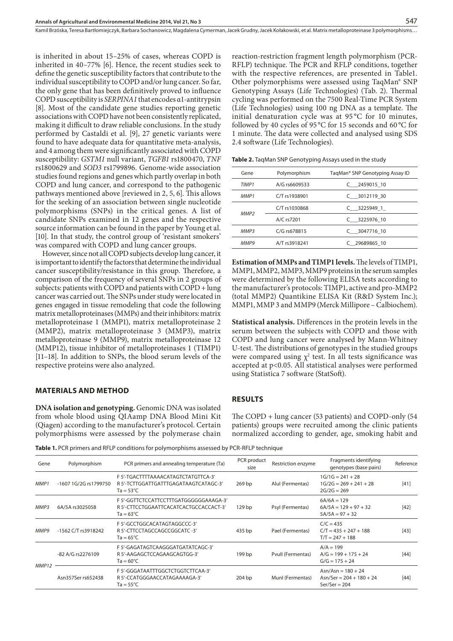Kamil Brzóska, Teresa Bartłomiejczyk, Barbara Sochanowicz, Magdalena Cymerman, Jacek Grudny, Jacek Kołakowski , et al. Matrix metalloproteinase 3 polymorphisms…

is inherited in about 15–25% of cases, whereas COPD is inherited in 40–77% [6]. Hence, the recent studies seek to define the genetic susceptibility factors that contribute to the individual susceptibility to COPD and/or lung cancer. So far, the only gene that has been definitively proved to influence COPD susceptibility is *SERPINA1* that encodes α1-antitrypsin [8]. Most of the candidate gene studies reporting genetic associations with COPD have not been consistently replicated, making it difficult to draw reliable conclusions. In the study performed by Castaldi et al. [9], 27 genetic variants were found to have adequate data for quantitative meta-analysis, and 4 among them were significantly associated with COPD susceptibility: *GSTM1* null variant, *TGFB1* rs1800470, *TNF* rs1800629 and *SOD3* rs1799896. Genome-wide association studies found regions and genes which partly overlap in both COPD and lung cancer, and correspond to the pathogenic pathways mentioned above [reviewed in 2, 5, 6]. This allows for the seeking of an association between single nucleotide polymorphisms (SNPs) in the critical genes. A list of candidate SNPs examined in 12 genes and the respective source information can be found in the paper by Young et al. [10]. In that study, the control group of 'resistant smokers' was compared with COPD and lung cancer groups.

However, since not all COPD subjects develop lung cancer, it is important to identify the factors that determine the individual cancer susceptibility/resistance in this group. Therefore, a comparison of the frequency of several SNPs in 2 groups of subjects: patients with COPD and patients with COPD + lung cancer was carried out. The SNPs under study were located in genes engaged in tissue remodeling that code the following matrix metalloproteinases (MMPs) and their inhibitors: matrix metalloproteinase 1 (MMP1), matrix metalloproteinase 2 (MMP2), matrix metalloproteinase 3 (MMP3), matrix metalloproteinase 9 (MMP9), matrix metalloproteinase 12 (MMP12), tissue inhibitor of metalloproteinases 1 (TIMP1) [11–18]. In addition to SNPs, the blood serum levels of the respective proteins were also analyzed.

#### **MATERIALS AND METHOD**

**DNA isolation and genotyping.** Genomic DNA was isolated from whole blood using QIAamp DNA Blood Mini Kit (Qiagen) according to the manufacturer's protocol. Certain polymorphisms were assessed by the polymerase chain reaction-restriction fragment length polymorphism (PCR-RFLP) technique. The PCR and RFLP conditions, together with the respective references, are presented in Table1. Other polymorphisms were assessed using TaqMan® SNP Genotyping Assays (Life Technologies) (Tab. 2). Thermal cycling was performed on the 7500 Real-Time PCR System (Life Technologies) using 100 ng DNA as a template. The initial denaturation cycle was at 95 °C for 10 minutes, followed by 40 cycles of 95 °C for 15 seconds and 60 °C for 1 minute. The data were collected and analysed using SDS 2.4 software (Life Technologies).

547

| Table 2. TaqMan SNP Genotyping Assays used in the study |  |  |
|---------------------------------------------------------|--|--|
|---------------------------------------------------------|--|--|

| Gene             | Polymorphism   | TagMan <sup>®</sup> SNP Genotyping Assay ID |  |
|------------------|----------------|---------------------------------------------|--|
| TIMP1            | A/G rs6609533  | $C$ 2459015 10                              |  |
| MMP1             | C/T rs1938901  | $C$ 3012119 30                              |  |
| MMP <sub>2</sub> | C/T rs1030868  | $C$ 3225949 1                               |  |
|                  | A/C rs7201     | $C$ 3225976 10                              |  |
| MMP3             | $C/G$ rs678815 | $C$ 3047716 10                              |  |
| MMP9             | A/T rs3918241  | C 29689865 10                               |  |

**Estimation of MMPs and TIMP1 levels.** The levels of TIMP1, MMP1, MMP2, MMP3, MMP9 proteins in the serum samples were determined by the following ELISA tests according to the manufacturer's protocols: TIMP1, active and pro-MMP2 (total MMP2) Quantikine ELISA Kit (R&D System Inc.); MMP1, MMP 3 and MMP9 (Merck Millipore – Calbiochem).

**Statistical analysis.** Differences in the protein levels in the serum between the subjects with COPD and those with COPD and lung cancer were analysed by Mann-Whitney U-test. The distributions of genotypes in the studied groups were compared using  $\chi^2$  test. In all tests significance was accepted at p<0.05. All statistical analyses were performed using Statistica 7 software (StatSoft).

#### **RESULTS**

The COPD + lung cancer (53 patients) and COPD-only (54 patients) groups were recruited among the clinic patients normalized according to gender, age, smoking habit and

**Table 1.** PCR primers and RFLP conditions for polymorphisms assessed by PCR-RFLP technique

| Polymorphism          | PCR primers and annealing temperature (Ta)                                                             | PCR product<br>size | Restriction enzyme | Fragments identifying<br>genotypes (base pairs)                       | Reference |
|-----------------------|--------------------------------------------------------------------------------------------------------|---------------------|--------------------|-----------------------------------------------------------------------|-----------|
| -1607 1G/2G rs1799750 | F 5'-TGACTTTTAAAACATAGTCTATGTTCA-3'<br>R 5'-TCTTGGATTGATTTGAGATAAGTCATAGC-3'<br>$Ta = 53^{\circ}C$     | 269 <sub>bp</sub>   | Alul (Fermentas)   | $1G/1G = 241 + 28$<br>$1G/2G = 269 + 241 + 28$<br>$2G/2G = 269$       | [41]      |
| 6A/5A rs3025058       | F 5'-GGTTCTCCATTCCTTTGATGGGGGGAAAGA-3'<br>R 5'-CTTCCTGGAATTCACATCACTGCCACCACT-3'<br>$Ta = 63^{\circ}C$ | 129 <sub>bp</sub>   | Psyl (Fermentas)   | $6A/6A = 129$<br>$6A/5A = 129 + 97 + 32$<br>$5A/5A = 97 + 32$         | [42]      |
| -1562 C/T rs3918242   | F 5'-GCCTGGCACATAGTAGGCCC-3'<br>R 5'-CTTCCTAGCCAGCCGGCATC -3'<br>$Ta = 65^{\circ}C$                    | 435 bp              | Pael (Fermentas)   | $C/C = 435$<br>$C/T = 435 + 247 + 188$<br>$T/T = 247 + 188$           | $[43]$    |
| -82 A/G rs2276109     | F 5'-GAGATAGTCAAGGGATGATATCAGC-3'<br>R 5'-AAGAGCTCCAGAAGCAGTGG-3'<br>$Ta = 60^{\circ}C$                | 199 bp              | Pvull (Fermentas)  | $A/A = 199$<br>$A/G = 199 + 175 + 24$<br>$G/G = 175 + 24$             | [44]      |
| Asn357Ser rs652438    | F 5'-GGGATAATTTGGCTCTGGTCTTCAA-3'<br>R 5'-CCATGGGAACCATAGAAAAGA-3'<br>$Ta = 55^{\circ}C$               | $204$ bp            | Munl (Fermentas)   | $Asn/Asn = 180 + 24$<br>$Asn/Ser = 204 + 180 + 24$<br>$Ser/Ser = 204$ | $[44]$    |
|                       |                                                                                                        |                     |                    |                                                                       |           |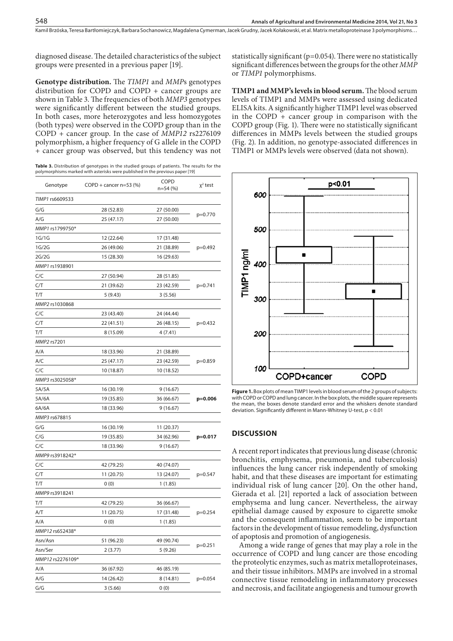diagnosed disease. The detailed characteristics of the subject groups were presented in a previous paper [19].

548

**Genotype distribution.** The *TIMP1* and *MMP*s genotypes distribution for COPD and COPD + cancer groups are shown in Table 3. The frequencies of both *MMP3* genotypes were significantly different between the studied groups. In both cases, more heterozygotes and less homozygotes (both types) were observed in the COPD group than in the COPD + cancer group. In the case of *MMP12* rs2276109 polymorphism, a higher frequency of G allele in the COPD + cancer group was observed, but this tendency was not

**Table 3.** Distribution of genotypes in the studied groups of patients. The results for the polymorphisms marked with asterisks were published in the previous paper [19]

| Genotype         | COPD + cancer $n=53$ (%) | COPD<br>$n=54(%)$ | $x^2$ test |  |
|------------------|--------------------------|-------------------|------------|--|
| TIMP1 rs6609533  |                          |                   |            |  |
| G/G              | 28 (52.83)               | 27 (50.00)        | $p=0.770$  |  |
| A/G              | 25 (47.17)               | 27 (50.00)        |            |  |
| MMP1 rs1799750*  |                          |                   |            |  |
| 1G/1G            | 12 (22.64)               | 17 (31.48)        | $p=0.492$  |  |
| 1G/2G            | 26 (49.06)               | 21 (38.89)        |            |  |
| 2G/2G            | 15 (28.30)               | 16 (29.63)        |            |  |
| MMP1 rs1938901   |                          |                   |            |  |
| C/C              | 27 (50.94)               | 28 (51.85)        | $p=0.741$  |  |
| C/T              | 21 (39.62)               | 23 (42.59)        |            |  |
| T/T              | 5(9.43)                  | 3(5.56)           |            |  |
| MMP2 rs1030868   |                          |                   |            |  |
| C/C              | 23 (43.40)               | 24 (44.44)        |            |  |
| C/T              | 22 (41.51)               | 26 (48.15)        | $p=0.432$  |  |
| T/T              | 8 (15.09)                | 4(7.41)           |            |  |
| MMP2 rs7201      |                          |                   |            |  |
| A/A              | 18 (33.96)               | 21 (38.89)        |            |  |
| A/C              | 25 (47.17)               | 23 (42.59)        | p=0.859    |  |
| C/C              | 10 (18.87)               | 10 (18.52)        |            |  |
| MMP3 rs3025058*  |                          |                   |            |  |
| 5A/5A            | 16 (30.19)               | 9(16.67)          |            |  |
| 5A/6A            | 19 (35.85)               | 36 (66.67)        | $p=0.006$  |  |
| 6A/6A            | 18 (33.96)               | 9(16.67)          |            |  |
| MMP3 rs678815    |                          |                   |            |  |
| G/G              | 16 (30.19)               | 11 (20.37)        |            |  |
| C/G              | 19 (35.85)               | 34 (62.96)        | p=0.017    |  |
| C/C              | 18 (33.96)               | 9(16.67)          |            |  |
| MMP9 rs3918242*  |                          |                   |            |  |
| C/C              | 42 (79.25)               | 40 (74.07)        |            |  |
| C/T              | 11 (20.75)               | 13 (24.07)        | p=0.547    |  |
| T/T              | 0(0)                     | 1(1.85)           |            |  |
| MMP9 rs3918241   |                          |                   |            |  |
| T/T              | 42 (79.25)               | 36 (66.67)        | $p=0.254$  |  |
| A/T              | 11 (20.75)               | 17 (31.48)        |            |  |
| A/A              | 0(0)                     | 1(1.85)           |            |  |
| MMP12 rs652438*  |                          |                   |            |  |
| Asn/Asn          | 51 (96.23)               | 49 (90.74)        | p=0.251    |  |
| Asn/Ser          | 2(3.77)                  | 5(9.26)           |            |  |
| MMP12 rs2276109* |                          |                   |            |  |
| A/A              | 36 (67.92)               | 46 (85.19)        | p=0.054    |  |
| A/G              | 14 (26.42)               | 8 (14.81)         |            |  |
| G/G              | 3(5.66)                  | 0(0)              |            |  |

statistically significant (p=0.054). There were no statistically significant differences between the groups for the other *MMP* or *TIMP1* polymorphisms.

**TIMP1 and MMP's levels in blood serum.** The blood serum levels of TIMP1 and MMPs were assessed using dedicated ELISA kits. A significantly higher TIMP1 level was observed in the COPD + cancer group in comparison with the COPD group (Fig. 1). There were no statistically significant differences in MMPs levels between the studied groups (Fig. 2). In addition, no genotype-associated differences in TIMP1 or MMPs levels were observed (data not shown).



**Figure 1.** Box plots of mean TIMP1 levels in blood serum of the 2 groups of subjects: with COPD or COPD and lung cancer. In the box plots, the middle square represents the mean, the boxes denote standard error and the whiskers denote standard deviation. Significantly different in Mann-Whitney U-test, p < 0.01

#### **DISCUSSION**

A recent report indicates that previous lung disease (chronic bronchitis, emphysema, pneumonia, and tuberculosis) influences the lung cancer risk independently of smoking habit, and that these diseases are important for estimating individual risk of lung cancer [20]. On the other hand, Gierada et al. [21] reported a lack of association between emphysema and lung cancer. Nevertheless, the airway epithelial damage caused by exposure to cigarette smoke and the consequent inflammation, seem to be important factors in the development of tissue remodeling, dysfunction of apoptosis and promotion of angiogenesis.

Among a wide range of genes that may play a role in the occurrence of COPD and lung cancer are those encoding the proteolytic enzymes, such as matrix metalloproteinases, and their tissue inhibitors. MMPs are involved in a stromal connective tissue remodeling in inflammatory processes and necrosis, and facilitate angiogenesis and tumour growth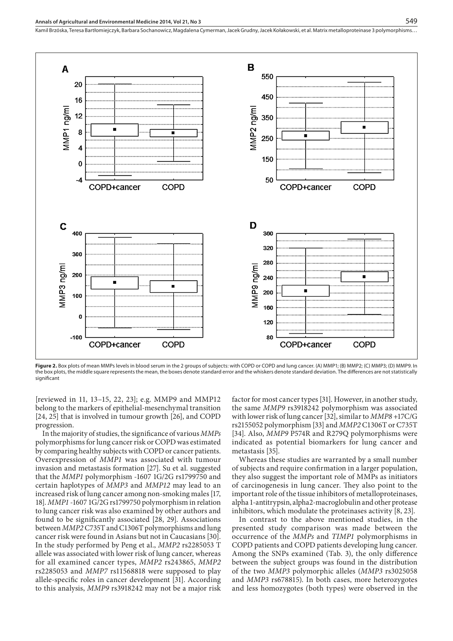Kamil Brzóska, Teresa Bartłomiejczyk, Barbara Sochanowicz, Magdalena Cymerman, Jacek Grudny, Jacek Kołakowski, et al. Matrix metalloproteinase 3 polymorphisms…



**Figure 2.** Box plots of mean MMPs levels in blood serum in the 2 groups of subjects: with COPD or COPD and lung cancer. (A) MMP1: (B) MMP2: (C) MMP3: (D) MMP9. In the box plots, the middle square represents the mean, the boxes denote standard error and the whiskers denote standard deviation. The differences are not statistically significant

[reviewed in 11, 13–15, 22, 23]; e.g. MMP9 and MMP12 belong to the markers of epithelial-mesenchymal transition [24, 25] that is involved in tumour growth [26], and COPD progression.

In the majority of studies, the significance of various *MMPs* polymorphisms for lung cancer risk or COPD was estimated by comparing healthy subjects with COPD or cancer patients. Overexpression of *MMP1* was associated with tumour invasion and metastasis formation [27]. Su et al. suggested that the *MMP1* polymorphism -1607 1G/2G rs1799750 and certain haplotypes of *MMP3* and *MMP12* may lead to an increased risk of lung cancer among non-smoking males [17, 18]. *MMP1* -1607 1G/2G rs1799750 polymorphism in relation to lung cancer risk was also examined by other authors and found to be significantly associated [28, 29]. Associations between *MMP2* C735T and C1306T polymorphisms and lung cancer risk were found in Asians but not in Caucasians [30]. In the study performed by Peng et al., *MMP2* rs2285053 T allele was associated with lower risk of lung cancer, whereas for all examined cancer types, *MMP2* rs243865, *MMP2* rs2285053 and *MMP7* rs11568818 were supposed to play allele-specific roles in cancer development [31]. According to this analysis, *MMP9* rs3918242 may not be a major risk

factor for most cancer types [31]. However, in another study, the same *MMP9* rs3918242 polymorphism was associated with lower risk of lung cancer [32], similar to *MMP8* +17C/G rs2155052 polymorphism [33] and *MMP2* C1306T or C735T [34]. Also, *MMP9* P574R and R279Q polymorphisms were indicated as potential biomarkers for lung cancer and metastasis [35].

Whereas these studies are warranted by a small number of subjects and require confirmation in a larger population, they also suggest the important role of MMPs as initiators of carcinogenesis in lung cancer. They also point to the important role of the tissue inhibitors of metalloproteinases, alpha 1-antitrypsin, alpha2-macroglobulin and other protease inhibitors, which modulate the proteinases activity [8, 23].

In contrast to the above mentioned studies, in the presented study comparison was made between the occurrence of the *MMPs* and *TIMP1* polymorphisms in COPD patients and COPD patients developing lung cancer. Among the SNPs examined (Tab. 3), the only difference between the subject groups was found in the distribution of the two *MMP3* polymorphic alleles (*MMP3* rs3025058 and *MMP3* rs678815). In both cases, more heterozygotes and less homozygotes (both types) were observed in the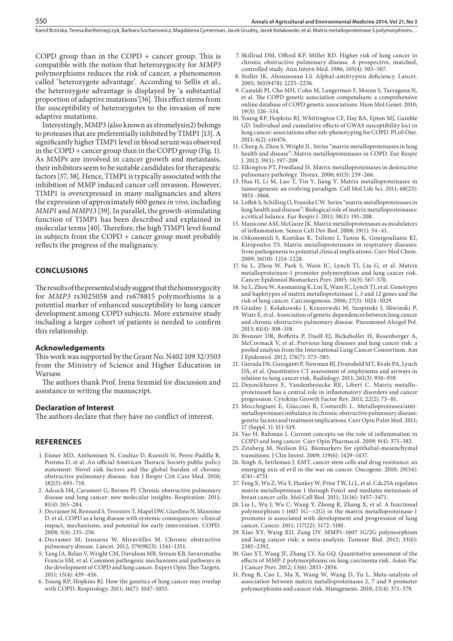Kamil Brzóska, Teresa Bartłomiejczyk, Barbara Sochanowicz, Magdalena Cymerman, Jacek Grudny, Jacek Kołakowski , et al. Matrix metalloproteinase 3 polymorphisms…

COPD group than in the COPD  $+$  cancer group. This is compatible with the notion that heterozygocity for *MMP3* polymorphisms reduces the risk of cancer, a phenomenon called 'heterozygote advantage'. According to Sellis et al., the heterozygote advantage is displayed by 'a substantial proportion of adaptive mutations'[36]. This effect stems from the susceptibility of heterozygotes to the invasion of new adaptive mutations.

Interestingly, MMP3 (also known as stromelysin2) belongs to proteases that are preferentially inhibited by TIMP1 [13]. A significantly higher TIMP1 level in blood serum was observed in the COPD + cancer group than in the COPD group (Fig. 1). As MMPs are involved in cancer growth and metastasis, their inhibitors seem to be suitable candidates for therapeutic factors [37, 38]. Hence, TIMP1 is typically associated with the inhibition of MMP induced cancer cell invasion. However, TIMP1 is overexpressed in many malignancies and alters the expression of approximately 600 genes *in vivo*, including *MMP1* and *MMP13* [39]. In parallel, the growth-stimulating function of TIMP1 has been described and explained in molecular terms [40]. Therefore, the high TIMP1 level found in subjects from the COPD + cancer group most probably reflects the progress of the malignancy.

#### **CONCLUSIONS**

The results of the presented study suggest that the homozygocity for *MMP3* rs3025058 and rs678815 polymorhisms is a potential marker of enhanced susceptibility to lung cancer development among COPD subjects. More extensive study including a larger cohort of patients is needed to confirm this relationship.

#### **Acknowledgements**

This work was supported by the Grant No. N402 109 32/3503 from the Ministry of Science and Higher Education in Warsaw.

The authors thank Prof. Irena Szumiel for discussion and assistance in writing the manuscript.

#### **Declaration of Interest**

The authors declare that they have no conflict of interest.

#### **REFERENCES**

- 1. Eisner MD, Anthonisen N, Coultas D, Kuenzli N, Perez-Padilla R, Postma D, et al. An official American Thoracic Society public policy statement: Novel risk factors and the global burden of chronic obstructive pulmonary disease. Am J Respir Crit Care Med. 2010; 182(5): 693–718.
- 2. Adcock IM, Caramori G, Barnes PJ. Chronic obstructive pulmonary disease and lung cancer: new molecular insights. Respiration. 2011; 81(4): 265–284.
- 3. Decramer M, Rennard S, Troosters T, Mapel DW, Giardino N, Mannino D, et al. COPD as a lung disease with systemic consequences--clinical impact, mechanisms, and potential for early intervention. COPD. 2008; 5(4): 235–256.
- 4. Decramer M, Janssens W, Miravitlles M. Chronic obstructive pulmonary disease. Lancet. 2012; 379(9823): 1341–1351.
- 5. Yang IA, Relan V, Wright CM, Davidson MR, Sriram KB, Savarimuthu Francis SM, et al. Common pathogenic mechanisms and pathways in the development of COPD and lung cancer. Expert Opin Ther Targets. 2011; 15(4): 439–456.
- 6. Young RP, Hopkins RJ. How the genetics of lung cancer may overlap with COPD. Respirology. 2011; 16(7): 1047–1055.
- 7. Skillrud DM, Offord KP, Miller RD. Higher risk of lung cancer in chronic obstructive pulmonary disease. A prospective, matched, controlled study. Ann Intern Med. 1986; 105(4): 503–507.
- 8. Stoller JK, Aboussouan LS. Alpha1-antitrypsin deficiency. Lancet. 2005; 365(9478): 2225–2236.
- 9. Castaldi PJ, Cho MH, Cohn M, Langerman F, Moran S, Tarragona N, et al. The COPD genetic association compendium: a comprehensive online database of COPD genetic associations. Hum Mol Genet. 2010; 19(3): 526–534.
- 10. Young RP, Hopkins RJ, Whittington CF, Hay BA, Epton MJ, Gamble GD. Individual and cumulative effects of GWAS susceptibility loci in lung cancer: associations after sub-phenotyping for COPD. PLoS One. 2011; 6(2): e16476.
- 11. Churg A, Zhou S, Wright JL. Series "matrix metalloproteinases in lung health and disease": Matrix metalloproteinases in COPD. Eur Respir J. 2012; 39(1): 197–209.
- 12. Elkington PT, Friedland JS. Matrix metalloproteinases in destructive pulmonary pathology. Thorax. 2006; 61(3): 259–266.
- 13. Hua H, Li M, Luo T, Yin Y, Jiang Y. Matrix metalloproteinases in tumorigenesis: an evolving paradigm. Cell Mol Life Sci. 2011; 68(23): 3853–3868.
- 14. Loffek S, Schilling O, Franzke CW. Series "matrix metalloproteinases in lung health and disease": Biological role of matrix metalloproteinases: a critical balance. Eur Respir J. 2011; 38(1): 191–208.
- 15. Manicone AM, McGuire JK. Matrix metalloproteinases as modulators of inflammation. Semin Cell Dev Biol. 2008; 19(1): 34–41.
- 16. Oikonomidi S, Kostikas K, Tsilioni I, Tanou K, Gourgoulianis KI, Kiropoulos TS. Matrix metalloproteinases in respiratory diseases: from pathogenesis to potential clinical implications. Curr Med Chem. 2009; 16(10): 1214–1228.
- 17. Su L, Zhou W, Park S, Wain JC, Lynch TJ, Liu G, et al. Matrix metalloproteinase-1 promoter polymorphism and lung cancer risk. Cancer Epidemiol Biomarkers Prev. 2005; 14(3): 567–570.
- 18. Su L, Zhou W, Asomaning K, Lin X, Wain JC, Lynch TJ, et al. Genotypes and haplotypes of matrix metalloproteinase 1, 3 and 12 genes and the risk of lung cancer. Carcinogenesis. 2006; 27(5): 1024–1029.
- 19. Grudny J, Kolakowski J, Kruszewski M, Szopinski J, Sliwinski P, Wiatr E, et al. Association of genetic dependences between lung cancer and chronic obstructive pulmonary disease. Pneumonol Alergol Pol. 2013; 81(4): 308–318.
- 20. Brenner DR, Boffetta P, Duell EJ, Bickeboller H, Rosenberger A, McCormack V, et al. Previous lung diseases and lung cancer risk: a pooled analysis from the International Lung Cancer Consortium. Am J Epidemiol. 2012; 176(7): 573–585.
- 21. Gierada DS, Guniganti P, Newman BJ, Dransfield MT, Kvale PA, Lynch DA, et al. Quantitative CT assessment of emphysema and airways in relation to lung cancer risk. Radiology. 2011; 261(3): 950–959.
- 22. Dejonckheere E, Vandenbroucke RE, Libert C. Matrix metalloproteinase8 has a central role in inflammatory disorders and cancer progression. Cytokine Growth Factor Rev. 2011; 22(2): 73–81.
- 23. Mocchegiani E, Giacconi R, Costarelli L. Metalloproteases/antimetalloproteases imbalance in chronic obstructive pulmonary disease: genetic factors and treatment implications. Curr Opin Pulm Med. 2011; 17 (Suppl. 1): S11-S19.
- 24. Yao H, Rahman I. Current concepts on the role of inflammation in COPD and lung cancer. Curr Opin Pharmacol. 2009; 9(4): 375–383.
- 25. Zeisberg M, Neilson EG. Biomarkers for epithelial-mesenchymal transitions. J Clin Invest. 2009; 119(6): 1429–1437.
- 26. Singh A, Settleman J. EMT, cancer stem cells and drug resistance: an emerging axis of evil in the war on cancer. Oncogene. 2010; 29(34): 4741–4751.
- 27. Feng X, Wu Z, Wu Y, Hankey W, Prior TW, Li L, et al. Cdc25A regulates matrix metalloprotease 1 through Foxo1 and mediates metastasis of breast cancer cells. Mol Cell Biol. 2011; 31(16): 3457–3471.
- 28. Liu L, Wu J, Wu C, Wang Y, Zhong R, Zhang X, et al. A functional polymorphism (-1607 1G-->2G) in the matrix metalloproteinase-1 promoter is associated with development and progression of lung cancer. Cancer. 2011; 117(22): 5172–5181.
- 29. Xiao XY, Wang XD, Zang DY. MMP1–1607 1G/2G polymorphism and lung cancer risk: a meta-analysis. Tumour Biol. 2012; 33(6): 2385–2392.
- 30. Guo XT, Wang JF, Zhang LY, Xu GQ. Quantitative assessment of the effects of MMP-2 polymorphisms on lung carcinoma risk. Asian Pac J Cancer Prev. 2012; 13(6): 2853–2856.
- 31. Peng B, Cao L, Ma X, Wang W, Wang D, Yu L. Meta-analysis of association between matrix metalloproteinases 2, 7 and 9 promoter polymorphisms and cancer risk. Mutagenesis. 2010; 25(4): 371–379.